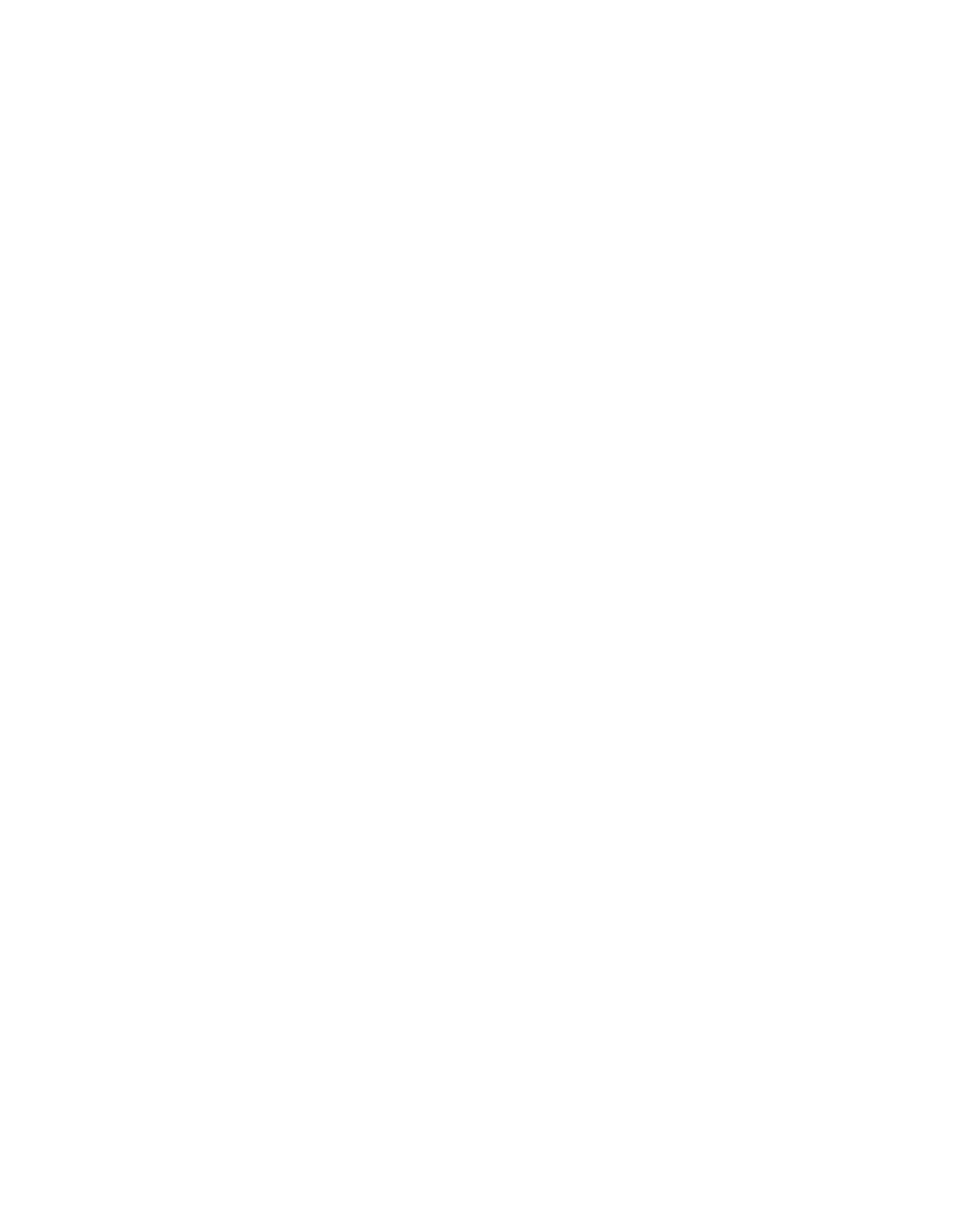# **BOARD OF SELECTMEN AND SEWER COMMISIONER'S MEETING**

November 16, 2015 **Francis Faulkner Room 204 Regular Meeting 7:00 PM**

Present: Katie Green, Peter J. Berry, Janet K. Adachi, Franny Osman, Town Manager Steven Ledoux Absent: Chingsung Chang, Lisa Tomyl Recording Secretary

Chairman Green opened the meeting at 7:00PM

## **Citizens' Concerns**

Jim Yarin, 248 Central Street - long term member of the Transportation Advisory Committee. We have a TAC that doesn't have much effect or have its advice considered. The CrossTown Connect fixed routes were vetted and discussed at a meeting and there was a plan that then was changed more than once without any consultation of the committee. First, the route was extended  $\frac{1}{2}$ -1 mile, which affected the time. Then the route was shortened by removed an essential portion. Mr. Yarin neither agreed nor disagreed but was concerned about the process. Ms. Osman noted that that the changes had been made quickly on the advice of the consultants.

Gina Manalan, 7 Kelly Road - upset with the constant pounding of rock ledge behind the CVS site, lives 1/10 mile away. Has been going on for 4 weeks, 6 days a week, 9 hours a day. Understands need to finish work before winter but thinks there should be some consideration for residents. Ms. Green requested that Ms. Manalan send an email to the Town Manager and Board of Selectmen for a review of the Site Plan Special Permit conditions about work hours. Ms. Manalan stressed that as Kelley's Corner projects moved forward, the Town needed to be sure that residents still had some quality of life.

Jim Yarin, 248 Central Street - concerned with the lack of stop sign at the foot of Community Way across from CVS and had contacted the Police Department about it.

#### **Chairman's Update and Operational Update:**

Ms. Green: Thanked everyone who attended Special Town Meeting, which seemed to be a very successful one. Upcoming events - CPR/AED training on Monday, November 30 at PSF from 9-4, ABRHS Chorus will be celebrating their 21<sup>st</sup> Cabaret Night November 20 and 21<sup>st</sup>, Green Acton will have a presentation on Acton's water November 18, next Board meeting is December  $7<sup>th</sup>$  - presentation by United Way.

Mr. Ledoux: No update.

# **Public Hearings and Appointments**

7:10 PM National Grid Petition for Gas Main Installation, Hayward Road - Dennis Regan, Permit representative for National Grid. Jim Snyder Grant 18 Half Moon Hill submitted and read aloud his Board of Selectmen November 16, 2015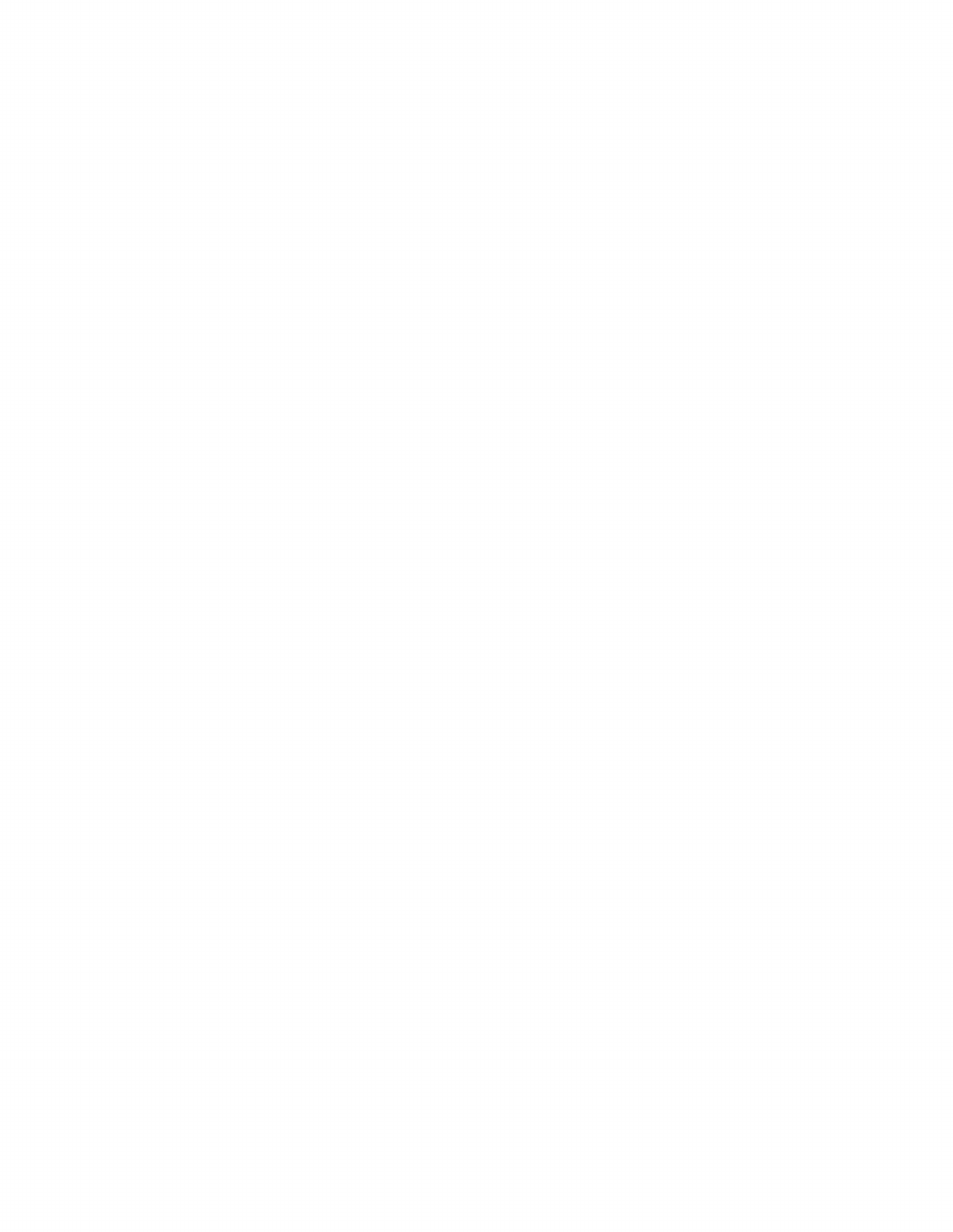written statement on behalf of Green Acton, urging the Town not to expand new gas lines in Acton and suggesting that the Building and Planning Departments recommend alternative energy sources for Site Plan proposals. Debra Simes, 109 Concord Road - also spoke and submitted a written statement expressing concern that expanding local gas lines indirectly would encourage fracking, and perpetuate long-term dependence on natural gas and other fossil fuels. Debra Hessen, 100 Hayward Road - road was dug up 2 years ago and it took a year to be repaved again; asked about expected duration of disruption. Dennis Regan stated construction would not begin until the Spring. Crews can install 80- 120 ft of gas line per day so installation would take about 4 weeks to complete including resurfacing. Board members discussed the issue of alternative energy sources, and the problem of gas leaks. Suggestions included modifying the charge for the Green Advisory Board to include alternative energy, and following up with the Town's state legislators about the status of pending legislation to address the gas-!eaks problem.

Ms. Osman moved to approve gas main installation on Hayward Road which according to Engineering Department cannot begin until March 15, 2015, and to explore issues pertaining to alternative energy sources and gas leaks, Mr. Berry second. All Ayes (4-0) Prepared statements of Jim Snyder-Grant and Debra Simes are included and a part of the meeting record.

7:20 PM National Grid Gas Main Installation, Alexandra Road - Dennis Regan, Permit Representative for National Grid. Mr. Berry asked how National Grid was addressing gas leaks. Mr. Regan described how National Grid is running gas surveys and replacing large lines with PVC piping.

Jim Yarin, 248 Central - asked about the uneven road surface.

Pi Tao, 103 Hayward Road - asked who paid for the work and how often the gas lines were checked. Mr. Regan stated the private residents pay to have the gas main to be installed and the Town does not pay for any of the work.

Subrat Pani, 6 Alexandra Way - development is 15 years old and did not have natural gas - all houses have oil. Worked together to get gas installed and has waited to get this project going, and looking for assistance from the BOS to get the installation started.

Mr. Berry moved to grant the permit for Alexandra Way on the condition they meet the requirements of the Engineering Department to not begin work before March 15, 2016 or on a date approved by the DPW Director or whichever is later. Ms. Adachi seconded. Al! Ayes (4-0)

7:30 PM Order to Show Cause, Alleged Over Service, Overtime Bar: Kris Wallis representing Overtime Bar. Ms. Adachi moved to continue to December 21, 2015, 8:15 PM, Ms. Osman seconded. All Ayes (4- 0)

### Selectmen's Business

Transportation Benchmarks Discussion Doug Halley presented slides about the transportation system and proposed transportation metrics. Currently 5 different transportation options in town: Council on Aging van, Roadrunner, Dial-A-Ride, Rail Shutt!e, and Cross-Acton Transit, the new fixed-route service

Board of Selectmen November 16, 2015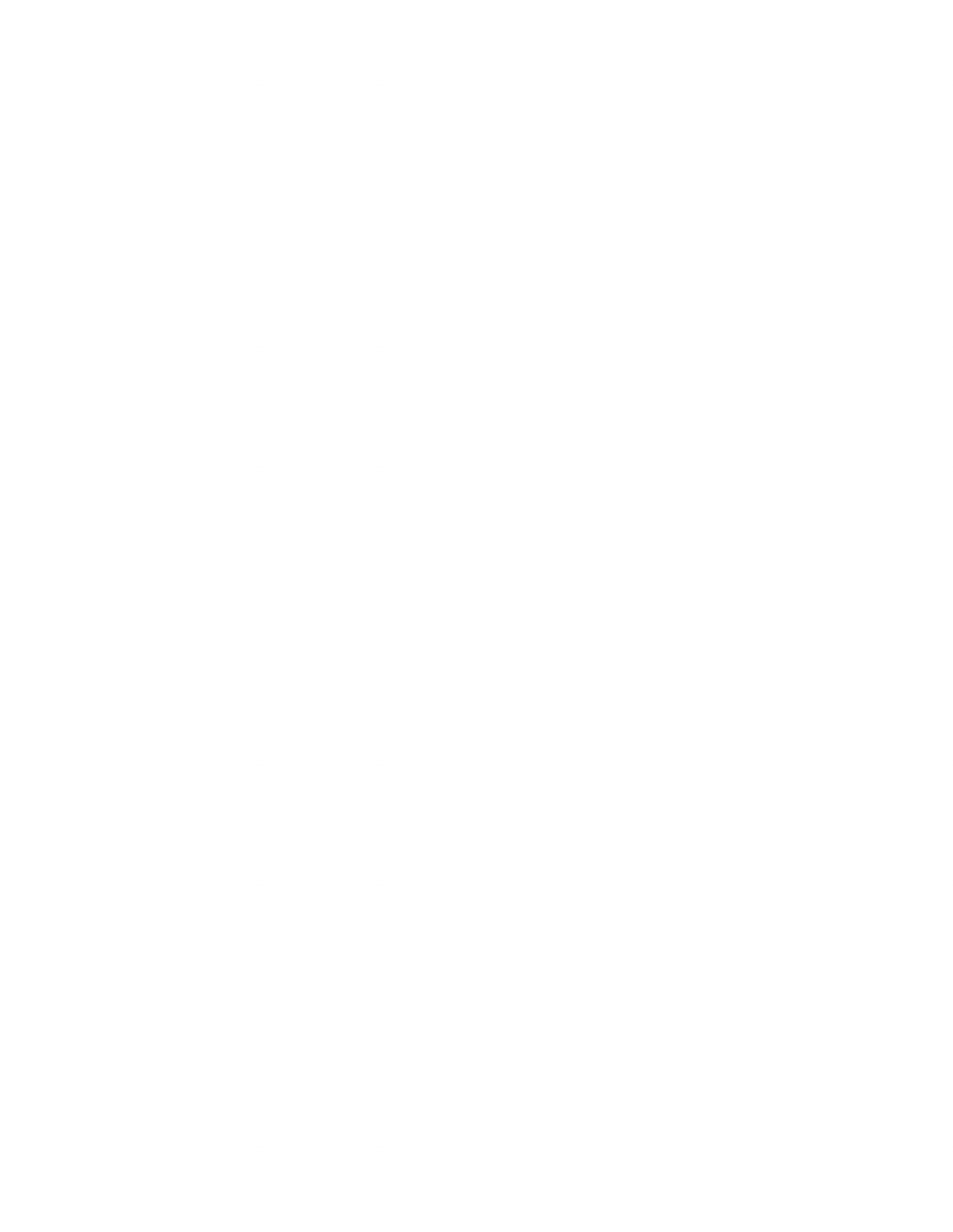running 10 hours, Monday through Friday. The focus has been on serving groups of people who need service, though conflicting individual needs can make the formation of groups challenging. The fixedroute stops had to be modified in the past week to keep transit time within 1 hour. Graphs show growing confidence in the system, with fewer problems with overbooking and therefore fewer cancellations. 46% of funding from general municipal fund. Centralization has improved dispatch; calls have increased so further investment in dispatch might be necessary at some point. Program trips have increased, especial!y involving Roadrunner, for example, for grocery-shopping on Wednesday for Chinese residents. Parking spaces for the rail shuttle are limited so there will be a need to expand shuttle-user parking spaces. Current overall transportation budget is \$509,000. Mr. Halley said the Board needed to consider 'unduplicated census,' with the aim being to increase the numbers from 151 to 180. Acton's service compares favorably with other towns, but need to continue improving.

Ms. Adachi noted that the quality of the service was important, but the Town a!so needed to keep an eye on the cost to the Town; asked if the lOOK LRTA contribution would continue (yes); asked about increasing and/or varying fees, and not simply aiming to increase rides, to account for time of day, length of trip, number of passengers, etc.; asked if shuttle service could be maximized without creating more parking spaces, for example, via fixed stops in town other than commuter parking areas (possible opportunity to lease additional space in connection with services to West Acton Village Works employees); asked whether arrival of Uber might be helpful (no, due to need for accessible vehicles and concern about lack of regulation/standards to assure passenger safety). Mr. Berry noted comments of Mr. Yarin of TAC, and potential process issues; Mr. Halley affirmed that he does consult with TAC but needed to act quickly in modifying the fixed route. Ms. Osman said transportation needed to go where the big numbers were; people's awareness of the services would grow as they saw the services at the train station, at the high school, etc.; she would like to serve commuters without cars. Ms. Green noted that the increased visibility was why people knew about the service. Ms. Osman would like the Board to request: effective communication with the Council on Aging; and streamlining of the various service names, which can be challenging to keep straight.

Debra Simes, Concord Road, suggested that any further expansion of the fixed-route include Nagog Woods and the Colonial Liquors parking lot. Jim Yarin, Central Street, said he would talk with Mr. Halley; recommended that once a route was fixed, it remain so unless it was intended to be temporary; transportation very important as are regular updates to the Board; perhaps consider 2 crisscrossing fixed routes that serve the 3 locations with senior populations; get seniors to travel together, perhaps on a fixed route involving the COA van; fact that fixed-route does not cover lower Great Road is a disservice, and is why public input is important in establishing a fixed route.

Minuteman Regional: Discussion of Boxborough Proposed Amendment: Ms. Adachi reported on the discussion among member-community representatives at this morning's breakfast meeting at the school about the new-building project. The current plan is for the Superintendent's financing proposal to go the School Committee and then to District members, which may schedule special town meetings no

Board of Se!ectmen November 16, 2015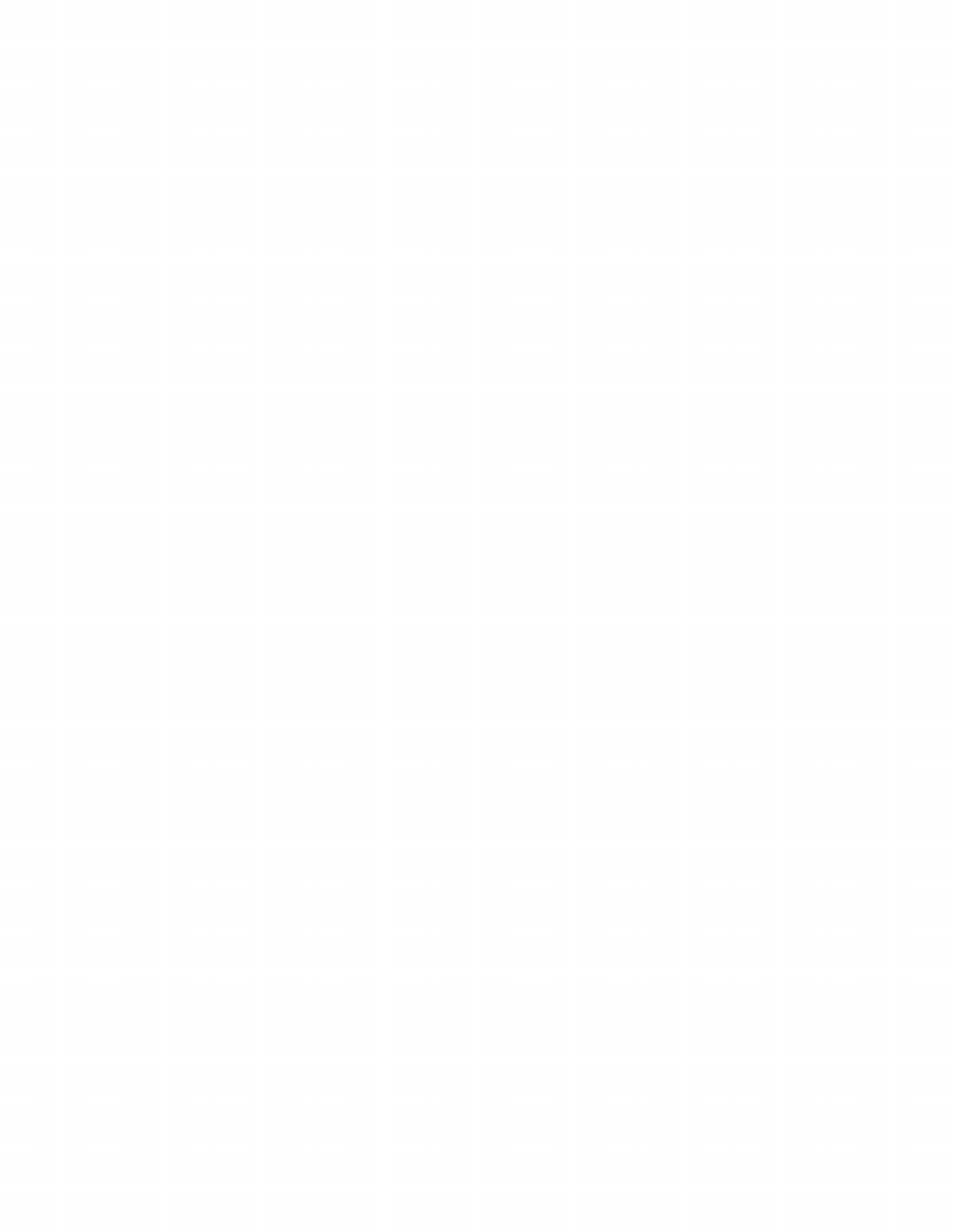later than February; if any member dissents, the financing proposal will go to District-wide ballot on or before 4/2. Member-representatives at the breakfast meeting had differing opinions about the prospect of a District-wide ballot vote that would supersede a dissenting STM vote; and about the need to address differences among members in an amended regional agreement as part of the effort to move the financing proposal forward. Representatives of 6 member-towns, presumably those that had not approved the 2014 amended agreement, met recently to discuss the various issues. Mr. Berry expressed concern about the District-wide vote and thought that scheduling a STM to vote on the financing was important. Ms. Green noted that a ballot-vote still would provide for voter participation; the Boxborough proposal to amend the regional agreement was interesting but the building project needed to move forward, separate from any proposed amendment. Ms. Adachi noted there would be lots of public outreach before any member-community vote.

Special Tax Assessment Agreement, Associated Environmental Services: Board members discussed the draft agreement.

- Section 1(4) provision for an annual payment of 10K toward Cross-Acton Transit: Concerns about this provision, recommendation that the provision be more flexible, with reduced years, a more genera! transportation service reference, etc.

- Section 1(5) right of first refusal of leased space at \$10 per square foot for a term of 5 years: Mr. Ledoux said it could be an option for Recreation or Engineering, still located at the Nagog space.

Ms. Adachi requested clarification of the employment numbers constituting a materia! default in Section 1(13). Ms. Osman asked about AES's obligation to hire individuals with disabilities; Mr. Ledoux said that AES was a federal contractor so would be obligated to consider the disabled or lose its contractor status.

Jim Snyder-Grant, Half Moon Hill, recommended taking the proposed school bus-parking possibility off the table, given the location of the parking are in Groundwater Zone 2.

Ms. Adachi moved pursuant to Article 6 of November 10, 2015 Special Town Meeting to approve Special Tax Assessment Agreement between Town and AES substantially in form presented to Board tonight, with final changes that Town Manager may approve in consultation with Town Counsel, Ms. Osman seconded. All Ayes (4-0).

Selectmen's Reports: The Selectmen Reports were included in the Selectmen packet and there were no questions.

## Consent Agenda

Ms. Green held Item 7, 2016 Permits, Licenses, recommending approval contingent on licensees' being paid up. Mr. Berry moved to approve Consent Item 7 with that condition, Ms. Adachi seconded. All Ayes (4-0). Ms. Adachi moved to approve Consent items 8-15, Mr. Berry seconded. All Ayes (4-0).

Ms. Adachi moved to adjourn, Ms. Osman seconded. All Ayes (4-0). Meeting adjourned at 10:00.

Board of Selectmen November 16, 2015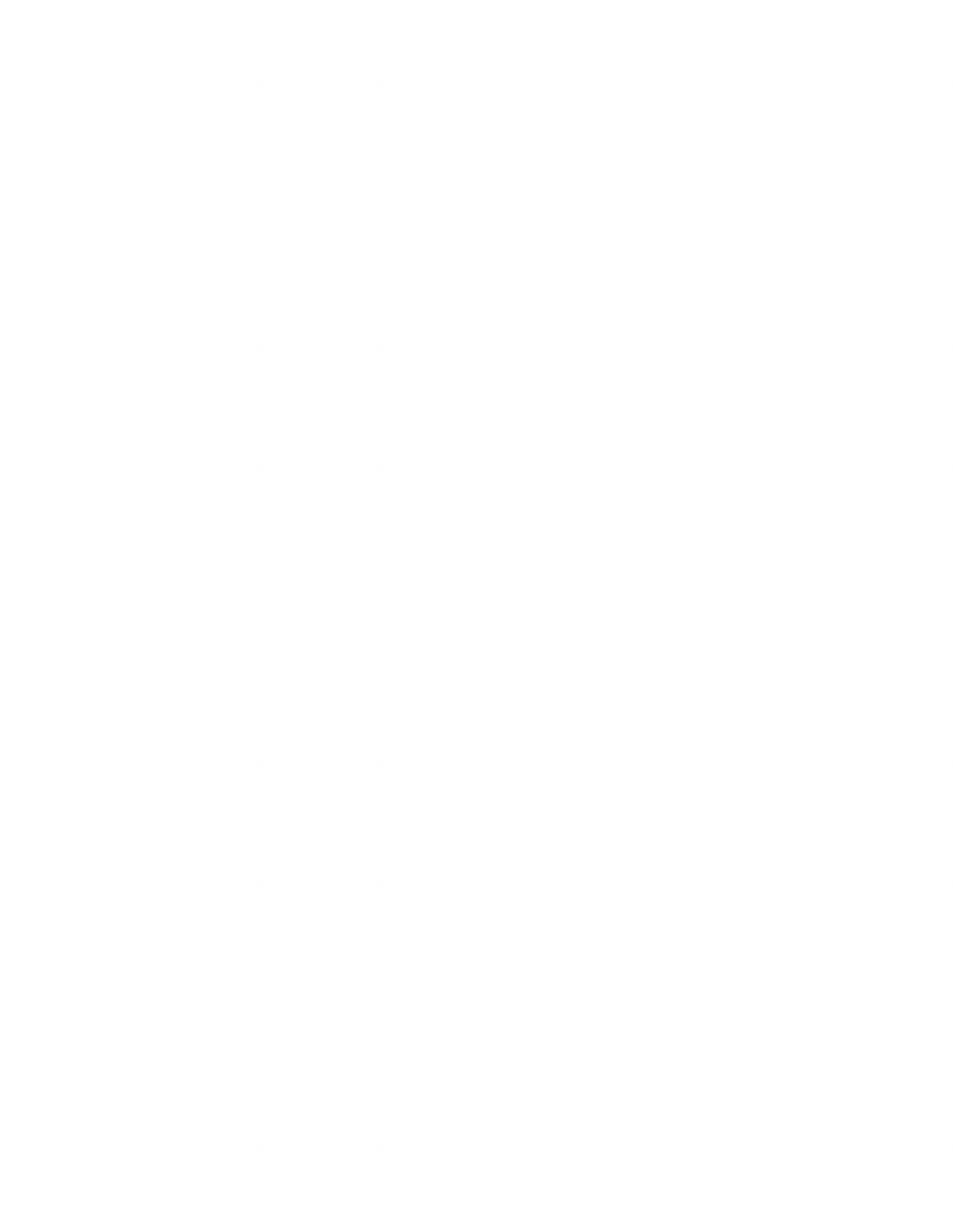Respectfully Submitted,

Janet K. Adachi, Clerk 

 $\sim$ 

Board of Selectmen November 16, 2015